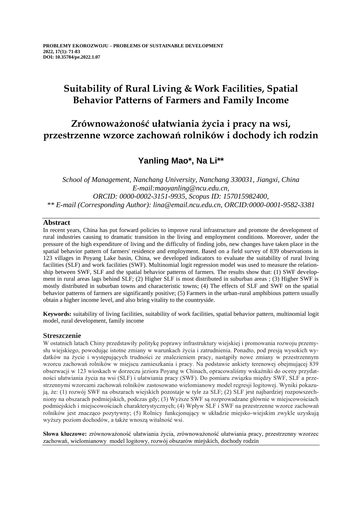# **Suitability of Rural Living & Work Facilities, Spatial Behavior Patterns of Farmers and Family Income**

# **Zrównoważoność ułatwiania życia i pracy na wsi, przestrzenne wzorce zachowań rolników i dochody ich rodzin**

## **Yanling Mao\*, Na Li\*\***

*School of Management, Nanchang University, Nanchang 330031, Jiangxi, China E-mail:maoyanling@ncu.edu.cn, ORCID: 0000-0002-3151-9935, Scopus ID: 157015982400, \*\* E-mail (Corresponding Author): lina@email.ncu.edu.cn, ORCID:0000-0001-9582-3381*

## **Abstract**

In recent years, China has put forward policies to improve rural infrastructure and promote the development of rural industries causing to dramatic transition in the living and employment conditions. Moreover, under the pressure of the high expenditure of living and the difficulty of finding jobs, new changes have taken place in the spatial behavior pattern of farmers' residence and employment. Based on a field survey of 839 observations in 123 villages in Poyang Lake basin, China, we developed indicators to evaluate the suitability of rural living facilities (SLF) and work facilities (SWF). Multinomial logit regression model was used to measure the relationship between SWF, SLF and the spatial behavior patterns of farmers. The results show that: (1) SWF development in rural areas lags behind SLF; (2) Higher SLF is most distributed in suburban areas ; (3) Higher SWF is mostly distributed in suburban towns and characteristic towns; (4) The effects of SLF and SWF on the spatial behavior patterns of farmers are significantly positive; (5) Farmers in the urban-rural amphibious pattern usually obtain a higher income level, and also bring vitality to the countryside.

**Keywords:** suitability of living facilities, suitability of work facilities, spatial behavior pattern, multinomial logit model, rural development, family income

## **Streszczenie**

W ostatnich latach Chiny przedstawiły politykę poprawy infrastruktury wiejskiej i promowania rozwoju przemysłu wiejskiego, powodując istotne zmiany w warunkach życia i zatrudnienia. Ponadto, pod presją wysokich wydatków na życie i występujących trudności ze znalezieniem pracy, nastąpiły nowe zmiany w przestrzennym wzorcu zachowań rolników w miejscu zamieszkania i pracy. Na podstawie ankiety terenowej obejmującej 839 obserwacji w 123 wioskach w dorzeczu jeziora Poyang w Chinach, opracowaliśmy wskaźniki do oceny przydatności ułatwiania życia na wsi (SLF) i ułatwiania pracy (SWF). Do pomiaru związku między SWF, SLF a przestrzennymi wzorcami zachowań rolników zastosowano wielomianowy model regresji logitowej. Wyniki pokazują, że: (1) rozwój SWF na obszarach wiejskich pozostaje w tyle za SLF; (2) SLF jest najbardziej rozpowszechniony na obszarach podmiejskich, podczas gdy; (3) Wyższe SWF są rozprowadzane głównie w miejscowościach podmiejskich i miejscowościach charakterystycznych; (4) Wpływ SLF i SWF na przestrzenne wzorce zachowań rolników jest znacząco pozytywny; (5) Rolnicy funkcjonujący w układzie miejsko-wiejskim zwykle uzyskują wyższy poziom dochodów, a także wnoszą witalność wsi.

**Słowa kluczowe:** zrównoważoność ułatwiania życia, zrównoważoność ułatwiania pracy, przestrzenny wzorzec zachowań, wielomianowy model logitowy, rozwój obszarów miejskich, dochody rodzin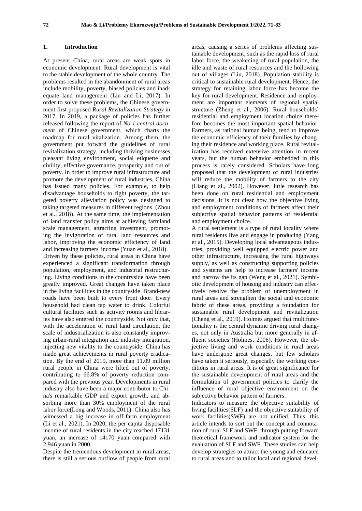## **1. Introduction**

At present China, rural areas are weak spots in economic development. Rural development is vital to the stable development of the whole country. The problems resulted in the abandonment of rural areas include mobility, poverty, biased policies and inadequate land management (Liu and Li, 2017). In order to solve these problems, the Chinese government first proposed *Rural Revitalization Strategy* in 2017. In 2019, a package of policies has further released following the report of *No 1 central document* of Chinese government, which charts the roadmap for rural vitalization. Among them, the government put forward the guidelines of rural revitalization strategy, including thriving businesses, pleasant living environment, social etiquette and civility, effective governance, prosperity and out of poverty. In order to improve rural infrastructure and promote the development of rural industries, China has issued many policies. For example, to help disadvantage households to fight poverty, the targeted poverty alleviation policy was designed to taking targeted measures in different regions (Zhou et al., 2018). At the same time, the implementation of land transfer policy aims at achieving farmland scale management, attracting investment, promoting the invigoration of rural land resources and labor, improving the economic efficiency of land and increasing farmers' income (Yuan et al., 2018). Driven by these policies, rural areas in China have experienced a significant transformation through population, employment, and industrial restructuring. Living conditions in the countryside have been greatly improved. Great changes have taken place in the living facilities in the countryside. Brand-new roads have been built to every front door. Every household had clean tap water to drink. Colorful cultural facilities such as activity rooms and libraries have also entered the countryside. Not only that, with the acceleration of rural land circulation, the scale of industrialization is also constantly improving urban-rural integration and industry integration, injecting new vitality to the countryside. China has made great achievements in rural poverty eradication. By the end of 2019, more than 11.09 million rural people in China were lifted out of poverty, contributing to 66.8% of poverty reduction compared with the previous year. Developments in rural industry also have been a major contributor to China's remarkable GDP and export growth, and absorbing more than 30% employment of the rural labor force(Long and Woods, 2011). China also has witnessed a big increase in off-farm employment (Li et al., 2021). In 2020, the per capita disposable income of rural residents in the city reached 17131 yuan, an increase of 14170 yuan compared with 2,946 yuan in 2000.

Despite the tremendous development in rural areas, there is still a serious outflow of people from rural

areas, causing a series of problems affecting sustainable development, such as the rapid loss of rural labor force, the weakening of rural population, the idle and waste of rural resources and the hollowing out of villages (Liu, 2018). Population stability is critical to sustainable rural development. Hence, the strategy for retaining labor force has become the key for rural development. Residence and employment are important elements of regional spatial structure (Zheng et al., 2006). Rural households' residential and employment location choice therefore becomes the most important spatial behavior. Farmers, as rational human being, tend to improve the economic efficiency of their families by changing their residence and working place. Rural revitalization has received extensive attention in recent years, but the human behavior embedded in this process is rarely considered. Scholars have long proposed that the development of rural industries will reduce the mobility of farmers to the city (Liang et al., 2002). However, little research has been done on rural residential and employment decisions. It is not clear how the objective living and employment conditions of farmers affect their subjective spatial behavior patterns of residential and employment choice.

A rural settlement is a type of rural locality where rural residents live and engage in producing (Yang et al., 2015). Developing local advantageous industries, providing well equipped electric power and other infrastructure, increasing the rural highways supply, as well as constructing supporting policies and systems are help to increase farmers' income and narrow the its gap (Weng et al., 2021). Symbiotic development of housing and industry can effectively resolve the problem of unemployment in rural areas and strengthen the social and economic fabric of these areas, providing a foundation for sustainable rural development and revitalization (Cheng et al., 2019). Holmes argued that multifunctionality is the central dynamic driving rural changes, not only in Australia but more generally in affluent societies (Holmes, 2006). However, the objective living and work conditions in rural areas have undergone great changes, but few scholars have taken it seriously, especially the working conditions in rural areas. It is of great significance for the sustainable development of rural areas and the formulation of government policies to clarify the influence of rural objective environment on the subjective behavior pattern of farmers.

Indicators to measure the objective suitability of living facilities(SLF) and the objective suitability of work facilities(SWF) are not unified. Thus, this article intends to sort out the concept and connotation of rural SLF and SWF, through putting forward theoretical framework and indicator system for the evaluation of SLF and SWF. These studies can help develop strategies to attract the young and educated to rural areas and to tailor local and regional devel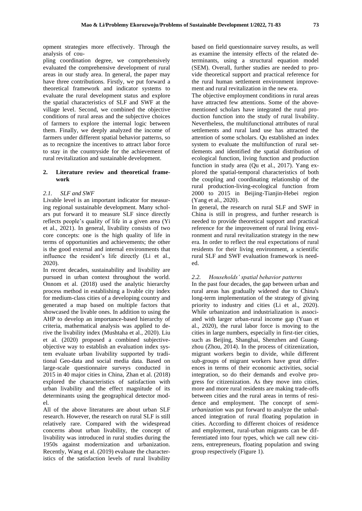opment strategies more effectively. Through the analysis of cou-

pling coordination degree, we comprehensively evaluated the comprehensive development of rural areas in our study area. In general, the paper may have three contributions. Firstly, we put forward a theoretical framework and indicator systems to evaluate the rural development status and explore the spatial characteristics of SLF and SWF at the village level. Second, we combined the objective conditions of rural areas and the subjective choices of farmers to explore the internal logic between them. Finally, we deeply analyzed the income of farmers under different spatial behavior patterns, so as to recognize the incentives to attract labor force to stay in the countryside for the achievement of rural revitalization and sustainable development.

## **2. Literature review and theoretical framework**

## *2.1. SLF and SWF*

Livable level is an important indicator for measuring regional sustainable development. Many scholars put forward it to measure SLF since directly reflects people's quality of life in a given area (Yi et al., 2021). In general, livability consists of two core concepts: one is the high quality of life in terms of opportunities and achievements; the other is the good external and internal environments that influence the resident's life directly (Li et al., 2020).

In recent decades, sustainability and livability are pursued in urban context throughout the world. Onnom et al. (2018) used the analytic hierarchy process method in establishing a livable city index for medium-class cities of a developing country and generated a map based on multiple factors that showcased the livable ones. In addition to using the AHP to develop an importance-based hierarchy of criteria, mathematical analysis was applied to derive the livability index (Mushtaha et al., 2020). Liu et al. (2020) proposed a combined subjectiveobjective way to establish an evaluation index system evaluate urban livability supported by traditional Geo-data and social media data. Based on large-scale questionnaire surveys conducted in 2015 in 40 major cities in China, Zhan et al. (2018) explored the characteristics of satisfaction with urban livability and the effect magnitude of its determinants using the geographical detector model.

All of the above literatures are about urban SLF research. However, the research on rural SLF is still relatively rare. Compared with the widespread concerns about urban livability, the concept of livability was introduced in rural studies during the 1950s against modernization and urbanization. Recently, Wang et al. (2019) evaluate the characteristics of the satisfaction levels of rural livability

based on field questionnaire survey results, as well as examine the intensity effects of the related determinants, using a structural equation model (SEM). Overall, further studies are needed to provide theoretical support and practical reference for the rural human settlement environment improvement and rural revitalization in the new era.

The objective employment conditions in rural areas have attracted few attentions. Some of the abovementioned scholars have integrated the rural production function into the study of rural livability. Nevertheless, the multifunctional attributes of rural settlements and rural land use has attracted the attention of some scholars. Qu established an index system to evaluate the multifunction of rural settlements and identified the spatial distribution of ecological function, living function and production function in study area (Qu et al., 2017). Yang explored the spatial-temporal characteristics of both the coupling and coordinating relationship of the rural production-living-ecological function from 2000 to 2015 in Beijing-Tianjin-Hebei region (Yang et al., 2020).

In general, the research on rural SLF and SWF in China is still in progress, and further research is needed to provide theoretical support and practical reference for the improvement of rural living environment and rural revitalization strategy in the new era. In order to reflect the real expectations of rural residents for their living environment, a scientific rural SLF and SWF evaluation framework is needed.

#### *2.2. Households' spatial behavior patterns*

In the past four decades, the gap between urban and rural areas has gradually widened due to China's long-term implementation of the strategy of giving priority to industry and cities (Li et al., 2020). While urbanization and industrialization is associated with larger urban-rural income gap (Yuan et al., 2020), the rural labor force is moving to the cities in large numbers, especially in first-tier cities, such as Beijing, Shanghai, Shenzhen and Guangzhou (Zhou, 2014). In the process of citizenization, migrant workers begin to divide, while different sub-groups of migrant workers have great differences in terms of their economic activities, social integration, so do their demands and evolve progress for citizenization. As they move into cities, more and more rural residents are making trade-offs between cities and the rural areas in terms of residence and employment. The concept of *semiurbanization* was put forward to analyze the unbalanced integration of rural floating population in cities. According to different choices of residence and employment, rural-urban migrants can be differentiated into four types, which we call new citizens, entrepreneurs, floating population and swing group respectively (Figure 1).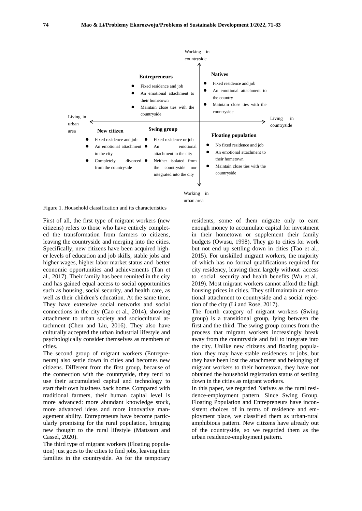

Working in urban area

Figure 1. Household classification and its characteristics

First of all, the first type of migrant workers (new citizens) refers to those who have entirely completed the transformation from farmers to citizens, leaving the countryside and merging into the cities. Specifically, new citizens have been acquired higher levels of education and job skills, stable jobs and higher wages, higher labor market status and better economic opportunities and achievements (Tan et al., 2017). Their family has been reunited in the city and has gained equal access to social opportunities such as housing, social security, and health care, as well as their children's education. At the same time, They have extensive social networks and social connections in the city (Cao et al., 2014), showing attachment to urban society and sociocultural attachment (Chen and Liu, 2016). They also have culturally accepted the urban industrial lifestyle and psychologically consider themselves as members of cities.

The second group of migrant workers (Entrepreneurs) also settle down in cities and becomes new citizens. Different from the first group, because of the connection with the countryside, they tend to use their accumulated capital and technology to start their own business back home. Compared with traditional farmers, their human capital level is more advanced: more abundant knowledge stock, more advanced ideas and more innovative management ability. Entrepreneurs have become particularly promising for the rural population, bringing new thought to the rural lifestyle (Mattsson and Cassel, 2020).

The third type of migrant workers (Floating population) just goes to the cities to find jobs, leaving their families in the countryside. As for the temporary

residents, some of them migrate only to earn enough money to accumulate capital for investment in their hometown or supplement their family budgets (Owusu, 1998). They go to cities for work but not end up settling down in cities (Tao et al., 2015). For unskilled migrant workers, the majority of which has no formal qualifications required for city residency, leaving them largely without access to social security and health benefits (Wu et al., 2019). Most migrant workers cannot afford the high housing prices in cities. They still maintain an emotional attachment to countryside and a social rejection of the city (Li and Rose, 2017).

The fourth category of migrant workers (Swing group) is a transitional group, lying between the first and the third. The swing group comes from the process that migrant workers increasingly break away from the countryside and fail to integrate into the city. Unlike new citizens and floating population, they may have stable residences or jobs, but they have been lost the attachment and belonging of migrant workers to their hometown, they have not obtained the household registration status of settling down in the cities as migrant workers.

In this paper, we regarded Natives as the rural residence-employment pattern. Since Swing Group, Floating Population and Entrepreneurs have inconsistent choices of in terms of residence and employment place, we classified them as urban-rural amphibious pattern. New citizens have already out of the countryside, so we regarded them as the urban residence-employment pattern.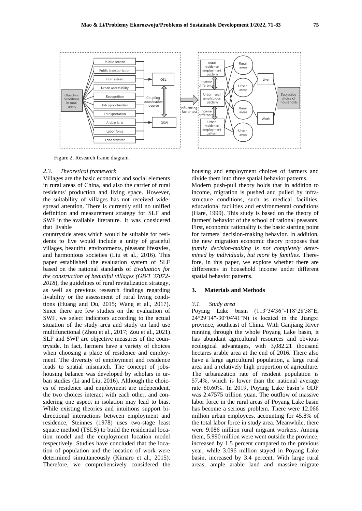

Figure 2. Research frame diagram

#### *2.3. Theoretical framework*

Villages are the basic economic and social elements in rural areas of China, and also the carrier of rural residents' production and living space. However, the suitability of villages has not received widespread attention. There is currently still no unified definition and measurement strategy for SLF and SWF in the available literature. It was considered that livable

countryside areas which would be suitable for residents to live would include a unity of graceful villages, beautiful environments, pleasant lifestyles, and harmonious societies (Liu et al., 2016). This paper established the evaluation system of SLF based on the national standards of *Evaluation for the construction of beautiful villages (GB/T 37072- 2018*), the guidelines of rural revitalization strategy, as well as previous research findings regarding livability or the assessment of rural living conditions (Huang and Du, 2015; Wang et al., 2017). Since there are few studies on the evaluation of SWF, we select indicators according to the actual situation of the study area and study on land use multifunctional (Zhou et al., 2017; Zou et al., 2021). SLF and SWF are objective measures of the countryside. In fact, farmers have a variety of choices when choosing a place of residence and employment. The diversity of employment and residence leads to spatial mismatch. The concept of jobshousing balance was developed by scholars in urban studies (Li and Liu, 2016). Although the choices of residence and employment are independent, the two choices interact with each other, and considering one aspect in isolation may lead to bias. While existing theories and intuitions support bidirectional interactions between employment and residence, Steinnes (1978) uses two-stage least square method (TSLS) to build the residential location model and the employment location model respectively. Studies have concluded that the location of population and the location of work were determined simultaneously (Kimaro et al., 2015). Therefore, we comprehensively considered the

housing and employment choices of farmers and divide them into three spatial behavior patterns.

Modern push-pull theory holds that in addition to income, migration is pushed and pulled by infrastructure conditions, such as medical facilities, educational facilities and environmental conditions (Hare, 1999). This study is based on the theory of farmers' behavior of the school of rational peasants. First, economic rationality is the basic starting point for farmers' decision-making behavior. In addition, the new migration economic theory proposes that *family decision-making is not completely determined by individuals, but more by families*. Therefore, in this paper, we explore whether there are differences in household income under different spatial behavior patterns.

## **3. Materials and Methods**

#### *3.1. Study area*

Poyang Lake basin (113°34′36″-118°28′58″E, 24°29′14″-30°04′41″N) is located in the Jiangxi province, southeast of China. With Ganjiang River running through the whole Poyang Lake basin, it has abundant agricultural resources and obvious ecological advantages, with 3,082.21 thousand hectares arable area at the end of 2016. There also have a large agricultural population, a large rural area and a relatively high proportion of agriculture. The urbanization rate of resident population is 57.4%, which is lower than the national average rate 60.60%. In 2019, Poyang Lake basin's GDP was 2.47575 trillion yuan. The outflow of massive labor force in the rural areas of Poyang Lake basin has become a serious problem. There were 12.066 million urban employees, accounting for 45.8% of the total labor force in study area. Meanwhile, there were 9.086 million rural migrant workers. Among them, 5.990 million were went outside the province, increased by 1.5 percent compared to the previous year, while 3.096 million stayed in Poyang Lake basin, increased by 3.4 percent. With large rural areas, ample arable land and massive migrate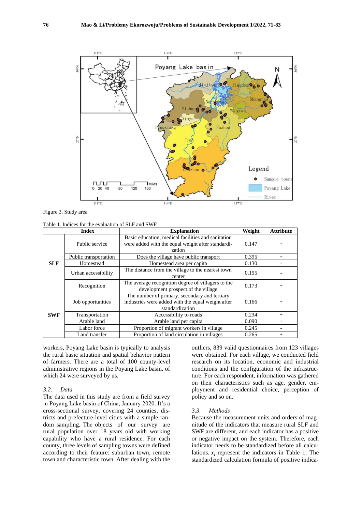

Figure 3. Study area

Table 1. Indices for the evaluation of SLF and SWF

| <b>Index</b> |                                                                                    | <b>Explanation</b>                                                                                                    | Weight | <b>Attribute</b> |
|--------------|------------------------------------------------------------------------------------|-----------------------------------------------------------------------------------------------------------------------|--------|------------------|
|              | Public service                                                                     | Basic education, medical facilities and sanitation<br>were added with the equal weight after standardi-<br>zation     | 0.147  | $+$              |
|              | Public transportation                                                              | Does the village have public transport                                                                                | 0.395  | $^{+}$           |
| <b>SLF</b>   | Homestead                                                                          | Homestead area per capita                                                                                             | 0.130  | $^{+}$           |
|              | The distance from the village to the nearest town<br>Urban accessibility<br>center |                                                                                                                       | 0.155  |                  |
|              | Recognition                                                                        | The average recognition degree of villagers to the<br>development prospect of the village                             | 0.173  | $^{+}$           |
|              | Job opportunities                                                                  | The number of primary, secondary and tertiary<br>industries were added with the equal weight after<br>standardization | 0.166  | $^{+}$           |
| <b>SWF</b>   | Transportation<br>Accessibility to roads                                           |                                                                                                                       | 0.234  | $^{+}$           |
|              | Arable land<br>Arable land per capita                                              |                                                                                                                       | 0.090  | $^{+}$           |
|              | Labor force<br>Proportion of migrant workers in village                            |                                                                                                                       | 0.245  |                  |
|              | Land transfer                                                                      | Proportion of land circulation in villages                                                                            | 0.265  | $^{+}$           |

workers, Poyang Lake basin is typically to analysis the rural basic situation and spatial behavior pattern of farmers. There are a total of 100 county-level administrative regions in the Poyang Lake basin, of which 24 were surveyed by us.

#### *3.2. Data*

The data used in this study are from a field survey in Poyang Lake basin of China, January 2020. It's a cross-sectional survey, covering 24 counties, districts and prefecture-level cities with a simple random sampling. The objects of our survey are rural population over 18 years old with working capability who have a rural residence. For each county, three levels of sampling towns were defined according to their feature: suburban town, remote town and characteristic town. After dealing with the

outliers, 839 valid questionnaires from 123 villages were obtained. For each village, we conducted field research on its location, economic and industrial conditions and the configuration of the infrastructure. For each respondent, information was gathered on their characteristics such as age, gender, employment and residential choice, perception of policy and so on.

## *3.3. Methods*

Because the measurement units and orders of magnitude of the indicators that measure rural SLF and SWF are different, and each indicator has a positive or negative impact on the system. Therefore, each indicator needs to be standardized before all calculations.  $x_i$  represent the indicators in Table 1. The standardized calculation formula of positive indica-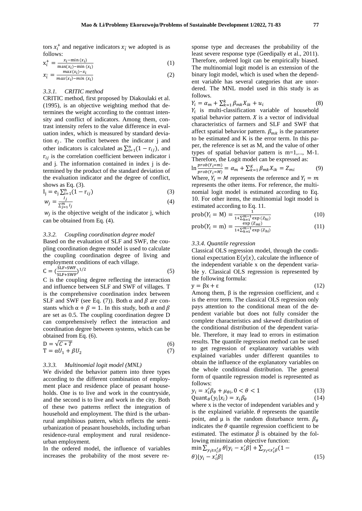tors  $x_i^+$  and negative indicators  $x_i^-$  we adopted is as follows:

$$
x_i^+ = \frac{x_i - \min(x_i)}{\max(x_i) - \min(x_i)}\tag{1}
$$

$$
x_{\bar{i}} = \frac{max(x_i) - x_i}{max(x_i) - min(x_i)}
$$
 (2)

## *3.3.1. CRITIC method*

CRITIC method, first proposed by Diakoulaki et al. (1995), is an objective weighting method that determines the weight according to the contrast intensity and conflict of indicators. Among them, contrast intensity refers to the value difference in evaluation index, which is measured by standard deviation  $e_j$ . The conflict between the indicator j and other indicators is calculated as  $\sum_{i=1}^{n} (1 - r_{ij})$ , and  $r_{ij}$  is the correlation coefficient between indicator i and j. The information contained in index j is determined by the product of the standard deviation of the evaluation indicator and the degree of conflict, shows as Eq. (3).

$$
I_{j} = e_{j} \sum_{i=1}^{n} (1 - r_{ij})
$$
\n
$$
w_{j} = \frac{I_{j}}{\sum_{j=1}^{m} I_{j}}
$$
\n(3)

 $w_j$  is the objective weight of the indicator j, which can be obtained from Eq. (4).

#### *3.3.2. Coupling coordination degree model*

Based on the evaluation of SLF and SWF, the coupling coordination degree model is used to calculate the coupling coordination degree of living and employment conditions of each village.

$$
C = \left(\frac{SLF*SWF}{SLF+SWF}\right)^{1/2} \tag{5}
$$

C is the coupling degree reflecting the interaction and influence between SLF and SWF of villages. T is the comprehensive coordination index between SLF and SWF (see Eq. (7)). Both  $\alpha$  and  $\beta$  are constants which  $\alpha + \beta = 1$ . In this study, both  $\alpha$  and  $\beta$ are set as 0.5. The coupling coordination degree D can comprehensively reflect the interaction and coordination degree between systems, which can be obtained from Eq. (6).

$$
D = \sqrt{C * T}
$$
  
\n
$$
T = \alpha U_1 + \beta U_2
$$
\n(6)

#### *3.3.3. Multinomial logit model (MNL)*

We divided the behavior pattern into three types according to the different combination of employment place and residence place of peasant households. One is to live and work in the countryside, and the second is to live and work in the city. Both of these two patterns reflect the integration of household and employment. The third is the urbanrural amphibious pattern, which reflects the semiurbanization of peasant households, including urban residence-rural employment and rural residenceurban employment.

In the ordered model, the influence of variables increases the probability of the most severe response type and decreases the probability of the least severe response type (Geedipally et al., 2011). Therefore, ordered logit can be empirically biased. The multinomial logit model is an extension of the binary logit model, which is used when the dependent variable has several categories that are unordered. The MNL model used in this study is as follows.

$$
Y_i = \alpha_m + \sum_{k=1}^{k} \beta_{mk} X_{ik} + u_i
$$
 (8)  
  $Y_i$  is multi-classification variable of household

spatial behavior pattern.  $X$  is a vector of individual characteristics of farmers and SLF and SWF that affect spatial behavior pattern.  $\beta_{mk}$  is the parameter to be estimated and  $\overline{K}$  is the error term. In this paper, the reference is set as M, and the value of other types of spatial behavior pattern is m=1,..., M-1. Therefore, the Logit model can be expressed as:  $\ln \frac{prob(Y_i=m)}{prob(Y_i=M)} = \alpha_m + \sum_{k=1}^{K} \beta_{mk} X_{ik} = Z_{mi}$ (9) Where,  $Y_i = M$  represents the reference and  $Y_i = m$ represents the other items. For reference, the multinomial logit model is estimated according to Eq. 10. For other items, the multinomial logit model is estimated according to Eq. 11.

$$
prob(Y_i = M) = \frac{1}{1 + \sum_{h=1}^{m-1} \exp{(Z_{hi})}}
$$
(10)

$$
prob(Y_i = m) = \frac{\exp{(Z_{mi})}}{1 + \sum_{h=1}^{m-1} \exp{(Z_{hi})}}
$$
(11)

#### *3.3.4. Quantile regression*

Classical OLS regression model, through the conditional expectation  $E(y|x)$ , calculate the influence of the independent variable x on the dependent variable y. Classical OLS regression is represented by the following formula:

$$
y = \beta x + \varepsilon \tag{12}
$$

Among them,  $β$  is the regression coefficient, and  $ε$ is the error term. The classical OLS regression only pays attention to the conditional mean of the dependent variable but does not fully consider the complete characteristics and skewed distribution of the conditional distribution of the dependent variable. Therefore, it may lead to errors in estimation results. The quantile regression method can be used to get regression of explanatory variables with explained variables under different quantiles to obtain the influence of the explanatory variables on the whole conditional distribution. The general form of quantile regression model is represented as follows:

$$
y_i = x_i' \beta_\theta + \mu_{\theta i}, 0 < \theta < 1 \tag{13}
$$
\n
$$
\text{Quant}_{\theta}(y_i | x_i) = x_i \beta_\theta \tag{14}
$$

Quant<sub> $\theta$ </sub> ( $y_i | x_i$ ) =  $x_i \beta_{\theta}$ <br>where x is the vector of independent variables and y is the explained variable.  $\theta$  represents the quantile point, and  $\mu$  is the random disturbance term.  $\beta_{\theta}$ indicates the  $\theta$  quantile regression coefficient to be estimated. The estimator  $\hat{\beta}$  is obtained by the following minimization objective function:

$$
\min \sum_{y_i \ge x'_i \beta} \theta |y_i - x'_i \beta| + \sum_{y_i < x'_i \beta} (1 - \theta) |y_i - x'_i \beta| \tag{15}
$$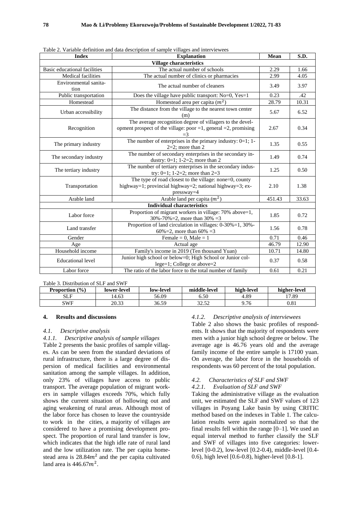| <b>Index</b>                                                              | <b>Explanation</b>                                                                                                                   |       | S.D.  |  |  |  |  |
|---------------------------------------------------------------------------|--------------------------------------------------------------------------------------------------------------------------------------|-------|-------|--|--|--|--|
| <b>Village characteristics</b>                                            |                                                                                                                                      |       |       |  |  |  |  |
| Basic educational facilities                                              | The actual number of schools                                                                                                         | 2.29  | 1.66  |  |  |  |  |
| <b>Medical facilities</b>                                                 | The actual number of clinics or pharmacies                                                                                           | 2.99  | 4.05  |  |  |  |  |
| Environmental sanita-<br>tion                                             | The actual number of cleaners                                                                                                        | 3.49  | 3.97  |  |  |  |  |
| Public transportation                                                     | Does the village have public transport: No=0, Yes=1                                                                                  | 0.23  | .42   |  |  |  |  |
| Homestead                                                                 | Homestead area per capita $(m2)$                                                                                                     | 28.79 | 10.31 |  |  |  |  |
| Urban accessibility                                                       | The distance from the village to the nearest town center<br>(m)                                                                      | 5.67  | 6.52  |  |  |  |  |
| Recognition                                                               | The average recognition degree of villagers to the devel-<br>opment prospect of the village: poor =1, general =2, promising<br>$=$ 3 | 2.67  | 0.34  |  |  |  |  |
| The primary industry                                                      | The number of enterprises in the primary industry: $0=1$ ; 1-<br>$2=2$ ; more than 2                                                 |       | 0.55  |  |  |  |  |
| The secondary industry                                                    | The number of secondary enterprises in the secondary in-<br>dustry: $0=1$ ; $1-2=2$ ; more than 2                                    |       | 0.74  |  |  |  |  |
| The tertiary industry                                                     | The number of tertiary enterprises in the secondary indus-<br>try: $0=1$ ; $1-2=2$ ; more than $2=3$                                 | 1.25  | 0.50  |  |  |  |  |
| Transportation                                                            | The type of road closest to the village: none=0, county<br>highway=1; provincial highway=2; national highway=3; ex-<br>$presway=4$   |       | 1.38  |  |  |  |  |
| Arable land                                                               | Arable land per capita $(m^2)$                                                                                                       |       | 33.63 |  |  |  |  |
|                                                                           | <b>Individual characteristics</b>                                                                                                    |       |       |  |  |  |  |
| Labor force                                                               | Proportion of migrant workers in village: 70% above=1,<br>30%-70%=2, more than $30\% = 3$                                            | 1.85  | 0.72  |  |  |  |  |
| Land transfer                                                             | Proportion of land circulation in villages: 0-30%=1, 30%-<br>60%=2, more than 60% =3                                                 |       | 0.78  |  |  |  |  |
| Gender                                                                    | Female = $0$ , Male = 1                                                                                                              | 0.71  | 0.46  |  |  |  |  |
| Age                                                                       | Actual age                                                                                                                           | 46.79 | 12.90 |  |  |  |  |
| Household income                                                          | Family's income in 2019 (Ten thousand Yuan)                                                                                          | 10.71 | 14.80 |  |  |  |  |
| <b>Educational level</b>                                                  | Junior high school or below=0; High School or Junior col-<br>lege=1; College or above=2                                              | 0.37  | 0.58  |  |  |  |  |
| The ratio of the labor force to the total number of family<br>Labor force |                                                                                                                                      | 0.61  | 0.21  |  |  |  |  |

Table 2. Variable definition and data description of sample villages and interviewees

Table 3. Distribution of SLF and SWF

| (9/0)<br><b>Proportion</b> | lower-level | low-level | middle-level     | high-level | higher-level |
|----------------------------|-------------|-----------|------------------|------------|--------------|
| SLF                        | 14.63       | 56.09     | 5.50             | 4.89       | 17.89        |
| SWF                        | 20.33       | 36.59     | 20 50<br>ے رہے ر | 9.76       | 0.81         |

## **4. Results and discussions**

#### *4.1. Descriptive analysis*

*4.1.1. Descriptive analysis of sample villages* Table 2 presents the basic profiles of sample villages. As can be seen from the standard deviations of rural infrastructure, there is a large degree of dispersion of medical facilities and environmental sanitation among the sample villages. In addition, only 23% of villages have access to public transport. The average population of migrant workers in sample villages exceeds 70%, which fully shows the current situation of hollowing out and aging weakening of rural areas. Although most of the labor force has chosen to leave the countryside to work in the cities, a majority of villages are considered to have a promising development prospect. The proportion of rural land transfer is low, which indicates that the high idle rate of rural land and the low utilization rate. The per capita homestead area is  $28.84m^2$  and the per capita cultivated land area is  $446.67m^2$ .

## *4.1.2. Descriptive analysis of interviewees*

Table 2 also shows the basic profiles of respondents. It shows that the majority of respondents were men with a junior high school degree or below. The average age is 46.76 years old and the average family income of the entire sample is 17100 yuan. On average, the labor force in the households of respondents was 60 percent of the total population.

## *4.2. Characteristics of SLF and SWF*

## *4.2.1. Evaluation of SLF and SWF*

Taking the administrative village as the evaluation unit, we estimated the SLF and SWF values of 123 villages in Poyang Lake basin by using CRITIC method based on the indexes in Table 1. The calculation results were again normalized so that the final results fell within the range [0–1]. We used an equal interval method to further classify the SLF and SWF of villages into five categories: lowerlevel [0-0.2), low-level [0.2-0.4), middle-level [0.4- 0.6), high level [0.6-0.8), higher-level [0.8-1].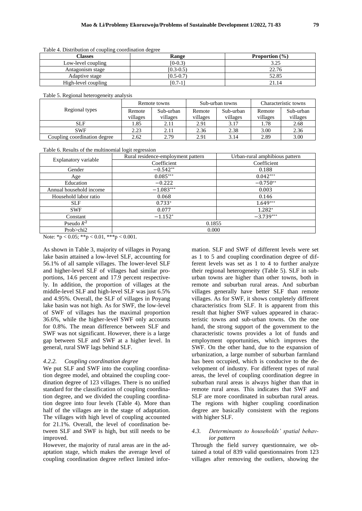| $1.0018$ . The state and the state presence was accepted to the state of $\sim$ |              |                           |  |  |  |
|---------------------------------------------------------------------------------|--------------|---------------------------|--|--|--|
| Classes                                                                         | <b>Range</b> | <b>Proportion</b> $(\% )$ |  |  |  |
| Low-level coupling                                                              | $[0-0.3)$    | 3.25                      |  |  |  |
| Antagonism stage                                                                | $(0.3-0.5)$  | 22.76                     |  |  |  |
| Adaptive stage                                                                  | [0.5-0.7)    | 52.85                     |  |  |  |
| High-level coupling                                                             | $[0.7-1]$    | 21.14                     |  |  |  |

Table 4. Distribution of coupling coordination degree

Table 5. Regional heterogeneity analysis

|                              |          | Remote towns |          | Sub-urban towns |          | Characteristic towns |
|------------------------------|----------|--------------|----------|-----------------|----------|----------------------|
| Regional types               | Remote   | Sub-urban    | Remote   | Sub-urban       | Remote   | Sub-urban            |
|                              | villages | villages     | villages | villages        | villages | villages             |
| <b>SLF</b>                   | . 85     | 2.11         | 2.91     | 3.17            | l.78     | 2.68                 |
| <b>SWF</b>                   | 2.23     | 2.11         | 2.36     | 2.38            | 3.00     | 2.36                 |
| Coupling coordination degree | 2.62     | 2.79         | 2.91     | 3.14            | 2.89     | 3.00                 |

Table 6. Results of the multinomial logit regression

| Explanatory variable    | Rural residence-employment pattern | Urban-rural amphibious pattern |  |  |
|-------------------------|------------------------------------|--------------------------------|--|--|
|                         | Coefficient                        | Coefficient                    |  |  |
| Gender                  | $-0.542**$                         | 0.188                          |  |  |
| Age                     | $0.085***$                         | $0.042***$                     |  |  |
| Education               | $-0.222$                           | $-0.750**$                     |  |  |
| Annual household income | $-1.083***$                        | 0.003                          |  |  |
| Household labor ratio   | 0.068                              | 0.146                          |  |  |
| <b>SLF</b>              | $0.733*$                           | $1.649***$                     |  |  |
| <b>SWF</b>              | 0.077                              | $1.282*$                       |  |  |
| Constant                | $-1.152*$                          | $-3.739***$                    |  |  |
| Pseudo $R^2$            | 0.1855                             |                                |  |  |
| Prob>chi2               | 0.000                              |                                |  |  |

Note: \*p < 0.05; \*\*p < 0.01, \*\*\*p < 0.001.

As shown in Table 3, majority of villages in Poyang lake basin attained a low-level SLF, accounting for 56.1% of all sample villages. The lower-level SLF and higher-level SLF of villages had similar proportions, 14.6 percent and 17.9 percent respectively. In addition, the proportion of villages at the middle-level SLF and high-level SLF was just 6.5% and 4.95%. Overall, the SLF of villages in Poyang lake basin was not high. As for SWF, the low-level of SWF of villages has the maximal proportion 36.6%, while the higher-level SWF only accounts for 0.8%. The mean difference between SLF and SWF was not significant. However, there is a large gap between SLF and SWF at a higher level. In general, rural SWF lags behind SLF.

## *4.2.2. Coupling coordination degree*

We put SLF and SWF into the coupling coordination degree model, and obtained the coupling coordination degree of 123 villages. There is no unified standard for the classification of coupling coordination degree, and we divided the coupling coordination degree into four levels (Table 4). More than half of the villages are in the stage of adaptation. The villages with high level of coupling accounted for 21.1%. Overall, the level of coordination between SLF and SWF is high, but still needs to be improved.

However, the majority of rural areas are in the adaptation stage, which makes the average level of coupling coordination degree reflect limited infor-

mation. SLF and SWF of different levels were set as 1 to 5 and coupling coordination degree of different levels was set as 1 to 4 to further analyze their regional heterogeneity (Table 5). SLF in suburban towns are higher than other towns, both in remote and suburban rural areas. And suburban villages generally have better SLF than remote villages. As for SWF, it shows completely different characteristics from SLF. It is apparent from this result that higher SWF values appeared in characteristic towns and sub-urban towns. On the one hand, the strong support of the government to the characteristic towns provides a lot of funds and employment opportunities, which improves the SWF. On the other hand, due to the expansion of urbanization, a large number of suburban farmland has been occupied, which is conducive to the development of industry. For different types of rural areas, the level of coupling coordination degree in suburban rural areas is always higher than that in remote rural areas. This indicates that SWF and SLF are more coordinated in suburban rural areas. The regions with higher coupling coordination degree are basically consistent with the regions with higher SLF.

## *4.3. Determinants to households' spatial behavior pattern*

Through the field survey questionnaire, we obtained a total of 839 valid questionnaires from 123 villages after removing the outliers, showing the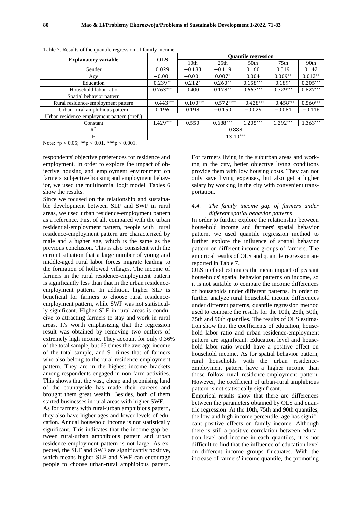|                                            | <b>OLS</b>  | <b>Quantile regression</b> |                  |                  |                  |            |
|--------------------------------------------|-------------|----------------------------|------------------|------------------|------------------|------------|
| <b>Explanatory variable</b>                |             | 10 <sub>th</sub>           | 25 <sub>th</sub> | 50 <sub>th</sub> | 75 <sub>th</sub> | 90th       |
| Gender                                     | 0.029       | $-0.183$                   | $-0.119$         | 0.160            | 0.019            | 0.142      |
| Age                                        | $-0.001$    | $-0.001$                   | $0.007*$         | 0.004            | $0.009**$        | $0.012**$  |
| Education                                  | $0.239**$   | $0.212*$                   | $0.260**$        | $0.158***$       | $0.189*$         | $0.205***$ |
| Household labor ratio                      | $0.763***$  | 0.400                      | $0.178**$        | $0.667***$       | $0.729***$       | $0.827***$ |
| Spatial behavior pattern                   |             |                            |                  |                  |                  |            |
| Rural residence-employment pattern         | $-0.443***$ | $-0.100***$                | $-0.572***$      | $-0.428***$      | $-0.458***$      | $0.560***$ |
| Urban-rural amphibious pattern             | 0.196       | 0.198                      | $-0.150$         | $-0.029$         | $-0.081$         | $-0.116$   |
| Urban residence-employment pattern (=ref.) |             |                            |                  |                  |                  |            |
| Constant                                   | $1.429***$  | 0.550                      | $0.688***$       | 1.205***         | $1.292***$       | $1.363***$ |
| $R^2$                                      | 0.888       |                            |                  |                  |                  |            |
| F                                          | $13.40***$  |                            |                  |                  |                  |            |
| Note: *p < 0.05; **p < 0.01, ***p < 0.001. |             |                            |                  |                  |                  |            |

Table 7. Results of the quantile regression of family income

respondents' objective preferences for residence and employment. In order to explore the impact of objective housing and employment environment on farmers' subjective housing and employment behavior, we used the multinomial logit model. Tables 6 show the results.

Since we focused on the relationship and sustainable development between SLF and SWF in rural areas, we used urban residence-employment pattern as a reference. First of all, compared with the urban residential-employment pattern, people with rural residence-employment pattern are characterized by male and a higher age, which is the same as the previous conclusion. This is also consistent with the current situation that a large number of young and middle-aged rural labor forces migrate leading to the formation of hollowed villages. The income of farmers in the rural residence-employment pattern is significantly less than that in the urban residenceemployment pattern. In addition, higher SLF is beneficial for farmers to choose rural residenceemployment pattern, while SWF was not statistically significant. Higher SLF in rural areas is conducive to attracting farmers to stay and work in rural areas. It's worth emphasizing that the regression result was obtained by removing two outliers of extremely high income. They account for only 0.36% of the total sample, but 65 times the average income of the total sample, and 91 times that of farmers who also belong to the rural residence-employment pattern. They are in the highest income brackets among respondents engaged in non-farm activities. This shows that the vast, cheap and promising land of the countryside has made their careers and brought them great wealth. Besides, both of them started businesses in rural areas with higher SWF.

As for farmers with rural-urban amphibious pattern, they also have higher ages and lower levels of education. Annual household income is not statistically significant. This indicates that the income gap between rural-urban amphibious pattern and urban residence-employment pattern is not large. As expected, the SLF and SWF are significantly positive, which means higher SLF and SWF can encourage people to choose urban-rural amphibious pattern.

For farmers living in the suburban areas and working in the city, better objective living conditions provide them with low housing costs. They can not only save living expenses, but also get a higher salary by working in the city with convenient transportation.

## *4.4. The family income gap of farmers under different spatial behavior patterns*

In order to further explore the relationship between household income and farmers' spatial behavior pattern, we used quantile regression method to further explore the influence of spatial behavior pattern on different income groups of farmers. The empirical results of OLS and quantile regression are reported in Table 7.

OLS method estimates the mean impact of peasant households' spatial behavior patterns on income, so it is not suitable to compare the income differences of households under different patterns. In order to further analyze rural household income differences under different patterns, quantile regression method used to compare the results for the 10th, 25th, 50th, 75th and 90th quantiles. The results of OLS estimation show that the coefficients of education, household labor ratio and urban residence-employment pattern are significant. Education level and household labor ratio would have a positive effect on household income. As for spatial behavior pattern, rural households with the urban residenceemployment pattern have a higher income than those follow rural residence-employment pattern. However, the coefficient of urban-rural amphibious pattern is not statistically significant.

Empirical results show that there are differences between the parameters obtained by OLS and quantile regression. At the 10th, 75th and 90th quantiles, the low and high income percentile, age has significant positive effects on family income. Although there is still a positive correlation between education level and income in each quantiles, it is not difficult to find that the influence of education level on different income groups fluctuates. With the increase of farmers' income quantile, the promoting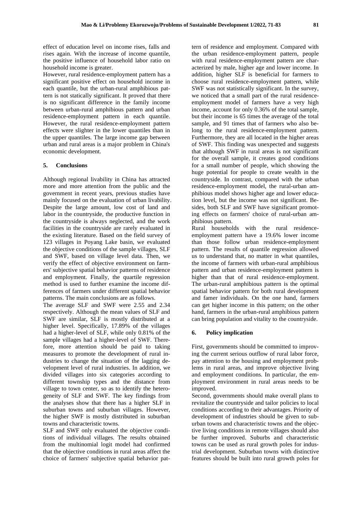effect of education level on income rises, falls and rises again. With the increase of income quantile, the positive influence of household labor ratio on household income is greater.

However, rural residence-employment pattern has a significant positive effect on household income in each quantile, but the urban-rural amphibious pattern is not statically significant. It proved that there is no significant difference in the family income between urban-rural amphibious pattern and urban residence-employment pattern in each quantile. However, the rural residence-employment pattern effects were slighter in the lower quantiles than in the upper quantiles. The large income gap between urban and rural areas is a major problem in China's economic development.

## **5. Conclusions**

Although regional livability in China has attracted more and more attention from the public and the government in recent years, previous studies have mainly focused on the evaluation of urban livability. Despite the large amount, low cost of land and labor in the countryside, the productive function in the countryside is always neglected, and the work facilities in the countryside are rarely evaluated in the existing literature. Based on the field survey of 123 villages in Poyang Lake basin, we evaluated the objective conditions of the sample villages, SLF and SWF, based on village level data. Then, we verify the effect of objective environment on farmers' subjective spatial behavior patterns of residence and employment. Finally, the quartile regression method is used to further examine the income differences of farmers under different spatial behavior patterns. The main conclusions are as follows.

The average SLF and SWF were 2.55 and 2.34 respectively. Although the mean values of SLF and SWF are similar, SLF is mostly distributed at a higher level. Specifically, 17.89% of the villages had a higher-level of SLF, while only 0.81% of the sample villages had a higher-level of SWF. Therefore, more attention should be paid to taking measures to promote the development of rural industries to change the situation of the lagging development level of rural industries. In addition, we divided villages into six categories according to different township types and the distance from village to town center, so as to identify the heterogeneity of SLF and SWF. The key findings from the analyses show that there has a higher SLF in suburban towns and suburban villages. However, the higher SWF is mostly distributed in suburban towns and characteristic towns.

SLF and SWF only evaluated the objective conditions of individual villages. The results obtained from the multinomial logit model had confirmed that the objective conditions in rural areas affect the choice of farmers' subjective spatial behavior pat-

tern of residence and employment. Compared with the urban residence-employment pattern, people with rural residence-employment pattern are characterized by male, higher age and lower income. In addition, higher SLF is beneficial for farmers to choose rural residence-employment pattern, while SWF was not statistically significant. In the survey, we noticed that a small part of the rural residenceemployment model of farmers have a very high income, account for only 0.36% of the total sample, but their income is 65 times the average of the total sample, and 91 times that of farmers who also belong to the rural residence-employment pattern. Furthermore, they are all located in the higher areas of SWF. This finding was unexpected and suggests that although SWF in rural areas is not significant for the overall sample, it creates good conditions for a small number of people, which showing the huge potential for people to create wealth in the countryside. In contrast, compared with the urban residence-employment model, the rural-urban amphibious model shows higher age and lower education level, but the income was not significant. Besides, both SLF and SWF have significant promoting effects on farmers' choice of rural-urban amphibious pattern.

Rural households with the rural residenceemployment pattern have a 19.6% lower income than those follow urban residence-employment pattern. The results of quantile regression allowed us to understand that, no matter in what quantiles, the income of farmers with urban-rural amphibious pattern and urban residence-employment pattern is higher than that of rural residence-employment. The urban-rural amphibious pattern is the optimal spatial behavior pattern for both rural development and famer individuals. On the one hand, farmers can get higher income in this pattern; on the other hand, farmers in the urban-rural amphibious pattern can bring population and vitality to the countryside.

#### **6. Policy implication**

First, governments should be committed to improving the current serious outflow of rural labor force, pay attention to the housing and employment problems in rural areas, and improve objective living and employment conditions. In particular, the employment environment in rural areas needs to be improved.

Second, governments should make overall plans to revitalize the countryside and tailor policies to local conditions according to their advantages. Priority of development of industries should be given to suburban towns and characteristic towns and the objective living conditions in remote villages should also be further improved. Suburbs and characteristic towns can be used as rural growth poles for industrial development. Suburban towns with distinctive features should be built into rural growth poles for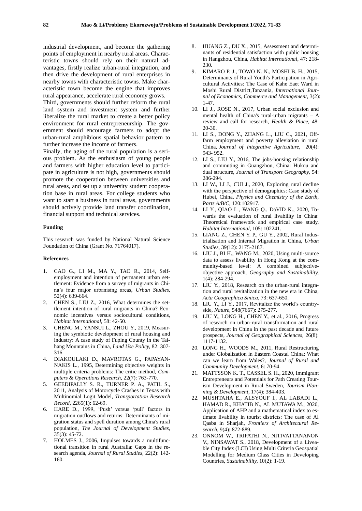industrial development, and become the gathering points of employment in nearby rural areas. Characteristic towns should rely on their natural advantages, firstly realize urban-rural integration, and then drive the development of rural enterprises in nearby towns with characteristic towns. Make characteristic town become the engine that improves rural appearance, accelerate rural economy grows.

Third, governments should further reform the rural land system and investment system and further liberalize the rural market to create a better policy environment for rural entrepreneurship. The government should encourage farmers to adopt the urban-rural amphibious spatial behavior pattern to further increase the income of farmers.

Finally, the aging of the rural population is a serious problem. As the enthusiasm of young people and farmers with higher education level to participate in agriculture is not high, governments should promote the cooperation between universities and rural areas, and set up a university student cooperation base in rural areas. For college students who want to start a business in rural areas, governments should actively provide land transfer coordination, financial support and technical services.

#### **Funding**

This research was funded by National Natural Science Foundation of China (Grant No. 71764017).

#### **References**

- 1. CAO G., LI M., MA Y., TAO R., 2014, Selfemployment and intention of permanent urban settlement: Evidence from a survey of migrants in China's four major urbanising areas, *Urban Studies,*  52(4): 639-664.
- 2. CHEN S., LIU Z., 2016, What determines the settlement intention of rural migrants in China? Economic incentives versus sociocultural conditions, *Habitat International,* 58: 42-50.
- 3. CHENG M., YANSUI L., ZHOU Y., 2019, Measuring the symbiotic development of rural housing and industry: A case study of Fuping County in the Taihang Mountains in China, *Land Use Policy,* 82: 307- 316.
- 4. DIAKOULAKI D., MAVROTAS G., PAPAYAN-NAKIS L., 1995, Determining objective weights in multiple criteria problems: The critic method, *Computers & Operations Research,* 22(7): 763-770.
- 5. GEEDIPALLY S. R., TURNER P. A., PATIL S., 2011, Analysis of Motorcycle Crashes in Texas with Multinomial Logit Model, *Transportation Research Record,* 2265(1): 62-69.
- 6. HARE D., 1999, 'Push' versus 'pull' factors in migration outflows and returns: Determinants of migration status and spell duration among China's rural population, *The Journal of Development Studies,*  35(3): 45-72.
- 7. HOLMES J., 2006, Impulses towards a multifunctional transition in rural Australia: Gaps in the research agenda, *Journal of Rural Studies,* 22(2): 142- 160.
- 8. HUANG Z., DU X., 2015, Assessment and determinants of residential satisfaction with public housing in Hangzhou, China, *Habitat International,* 47: 218- 230
- 9. KIMARO P. J., TOWO N. N., MOSHI B. H., 2015, Determinants of Rural Youth's Participation in Agricultural Activities: The Case of Kahe Eaet Ward in Moshi Rural District,Tanzania, *International Journal of Economics, Commerce and Management,* 3(2): 1-47.
- 10. LI J., ROSE N., 2017, Urban social exclusion and mental health of China's rural-urban migrants – A review and call for research, *Health & Place,* 48: 20-30.
- 11. LI S., DONG Y., ZHANG L., LIU C., 2021, Offfarm employment and poverty alleviation in rural China, *Journal of Integrative Agriculture,* 20(4): 943- 952.
- 12. LI S., LIU Y., 2016, The jobs-housing relationship and commuting in Guangzhou, China: Hukou and dual structure, *Journal of Transport Geography,* 54: 286-294.
- 13. LI W., LI J., CUI J., 2020, Exploring rural decline with the perspective of demographics: Case study of Hubei, China, *Physics and Chemistry of the Earth, Parts A/B/C,* 120:102917.
- 14. LI Y., QIAO L., WANG Q., DáVID K., 2020, Towards the evaluation of rural livability in China: Theoretical framework and empirical case study, *Habitat International,* 105: 102241.
- 15. LIANG Z., CHEN Y. P., GU Y., 2002, Rural Industrialisation and Internal Migration in China, *Urban Studies,* 39(12): 2175-2187.
- 16. LIU J., BI H., WANG M., 2020, Using multi-source data to assess livability in Hong Kong at the community-based level: A combined subjectiveobjective approach, *Geography and Sustainability,*  1(4): 284-294.
- 17. LIU Y., 2018, Research on the urban-rural integration and rural revitalization in the new era in China, *Acta Geographica Sinica,* 73: 637-650.
- 18. LIU Y., LI Y., 2017, Revitalize the world's countryside, *Nature,* 548(7667): 275-277.
- 19. LIU Y., LONG H., CHEN Y., et al., 2016, Progress of research on urban-rural transformation and rural development in China in the past decade and future prospects, *Journal of Geographical Sciences,* 26(8): 1117-1132.
- 20. LONG H., WOODS M., 2011, Rural Restructuring under Globalization in Eastern Coastal China: What can we learn from Wales?, *Journal of Rural and Community Development,* 6: 70-94.
- 21. MATTSSON K. T., CASSEL S. H., 2020, Immigrant Entrepreneurs and Potentials for Path Creating Tourism Development in Rural Sweden, *Tourism Planning & Development,* 17(4): 384-403.
- 22. MUSHTAHA E., ALSYOUF I., AL LABADI L., HAMAD R., KHATIB N., AL MUTAWA M., 2020, Application of AHP and a mathematical index to estimate livability in tourist districts: The case of Al Qasba in Sharjah, *Frontiers of Architectural Research,* 9(4): 872-889.
- 23. ONNOM W., TRIPATHI N., NITIVATTANANON V., NINSAWAT S., 2018, Development of a Liveable City Index (LCI) Using Multi Criteria Geospatial Modelling for Medium Class Cities in Developing Countries, *Sustainability,* 10(2): 1-19.